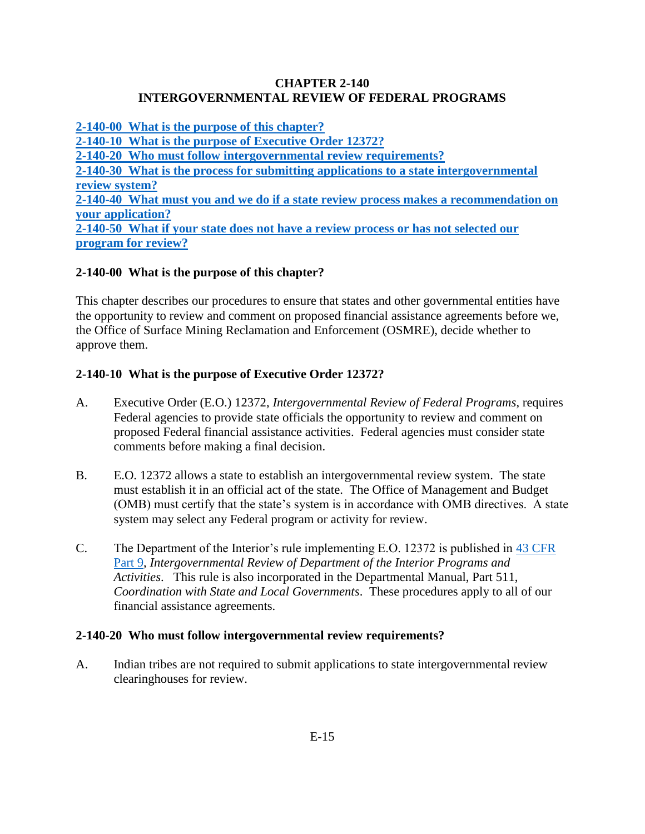### **CHAPTER 2-140 INTERGOVERNMENTAL REVIEW OF FEDERAL PROGRAMS**

**[2-140-00 What is the purpose of this chapter?](#page-0-0) [2-140-10 What is the purpose of](#page-0-1) Executive Order 12372? [2-140-20 Who must follow intergovernmental review requirements?](#page-0-2) [2-140-30 What is the process for submitting applications to a state intergovernmental](#page-1-0)  [review system?](#page-1-0) [2-140-40 What must you and we do if a state review process makes a recommendation on](#page-1-1)  [your application?](#page-1-1) [2-140-50 What if your state does not have a review process or has not selected our](#page-2-0)  [program for review?](#page-2-0)**

# <span id="page-0-0"></span>**2-140-00 What is the purpose of this chapter?**

This chapter describes our procedures to ensure that states and other governmental entities have the opportunity to review and comment on proposed financial assistance agreements before we, the Office of Surface Mining Reclamation and Enforcement (OSMRE), decide whether to approve them.

# <span id="page-0-1"></span>**2-140-10 What is the purpose of Executive Order 12372?**

- A. Executive Order (E.O.) 12372, *Intergovernmental Review of Federal Programs*, requires Federal agencies to provide state officials the opportunity to review and comment on proposed Federal financial assistance activities. Federal agencies must consider state comments before making a final decision.
- B. E.O. 12372 allows a state to establish an intergovernmental review system. The state must establish it in an official act of the state. The Office of Management and Budget (OMB) must certify that the state's system is in accordance with OMB directives. A state system may select any Federal program or activity for review.
- C. The Department of the Interior's rule implementing E.O. 12372 is published in [43 CFR](http://www.ecfr.gov/cgi-bin/text-idx?SID=30ed713edf0caf0f22fbb7e3d8121746&node=pt43.1.9&rgn=div5)  [Part 9,](http://www.ecfr.gov/cgi-bin/text-idx?SID=30ed713edf0caf0f22fbb7e3d8121746&node=pt43.1.9&rgn=div5) *Intergovernmental Review of Department of the Interior Programs and Activities*. This rule is also incorporated in the Departmental Manual, Part 511, *Coordination with State and Local Governments*. These procedures apply to all of our financial assistance agreements.

#### <span id="page-0-2"></span>**2-140-20 Who must follow intergovernmental review requirements?**

A. Indian tribes are not required to submit applications to state intergovernmental review clearinghouses for review.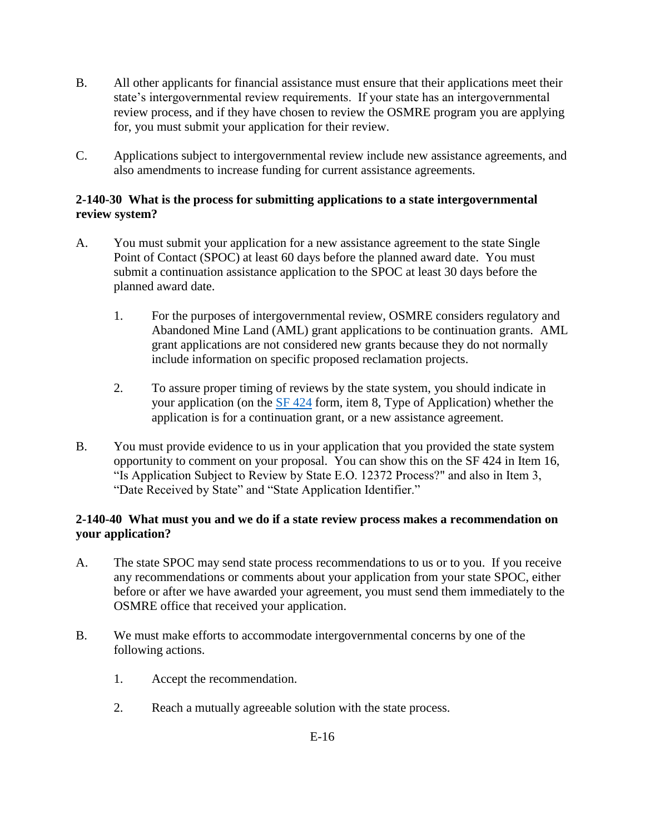- B. All other applicants for financial assistance must ensure that their applications meet their state's intergovernmental review requirements. If your state has an intergovernmental review process, and if they have chosen to review the OSMRE program you are applying for, you must submit your application for their review.
- C. Applications subject to intergovernmental review include new assistance agreements, and also amendments to increase funding for current assistance agreements.

### <span id="page-1-0"></span>**2-140-30 What is the process for submitting applications to a state intergovernmental review system?**

- A. You must submit your application for a new assistance agreement to the state Single Point of Contact (SPOC) at least 60 days before the planned award date. You must submit a continuation assistance application to the SPOC at least 30 days before the planned award date.
	- 1. For the purposes of intergovernmental review, OSMRE considers regulatory and Abandoned Mine Land (AML) grant applications to be continuation grants. AML grant applications are not considered new grants because they do not normally include information on specific proposed reclamation projects.
	- 2. To assure proper timing of reviews by the state system, you should indicate in your application (on the [SF 424](http://www.osmre.gov/forms/pdf/SF424.pdf) form, item 8, Type of Application) whether the application is for a continuation grant, or a new assistance agreement.
- B. You must provide evidence to us in your application that you provided the state system opportunity to comment on your proposal. You can show this on the SF 424 in Item 16, "Is Application Subject to Review by State E.O. 12372 Process?" and also in Item 3, "Date Received by State" and "State Application Identifier."

# <span id="page-1-1"></span>**2-140-40 What must you and we do if a state review process makes a recommendation on your application?**

- A. The state SPOC may send state process recommendations to us or to you. If you receive any recommendations or comments about your application from your state SPOC, either before or after we have awarded your agreement, you must send them immediately to the OSMRE office that received your application.
- B. We must make efforts to accommodate intergovernmental concerns by one of the following actions.
	- 1. Accept the recommendation.
	- 2. Reach a mutually agreeable solution with the state process.